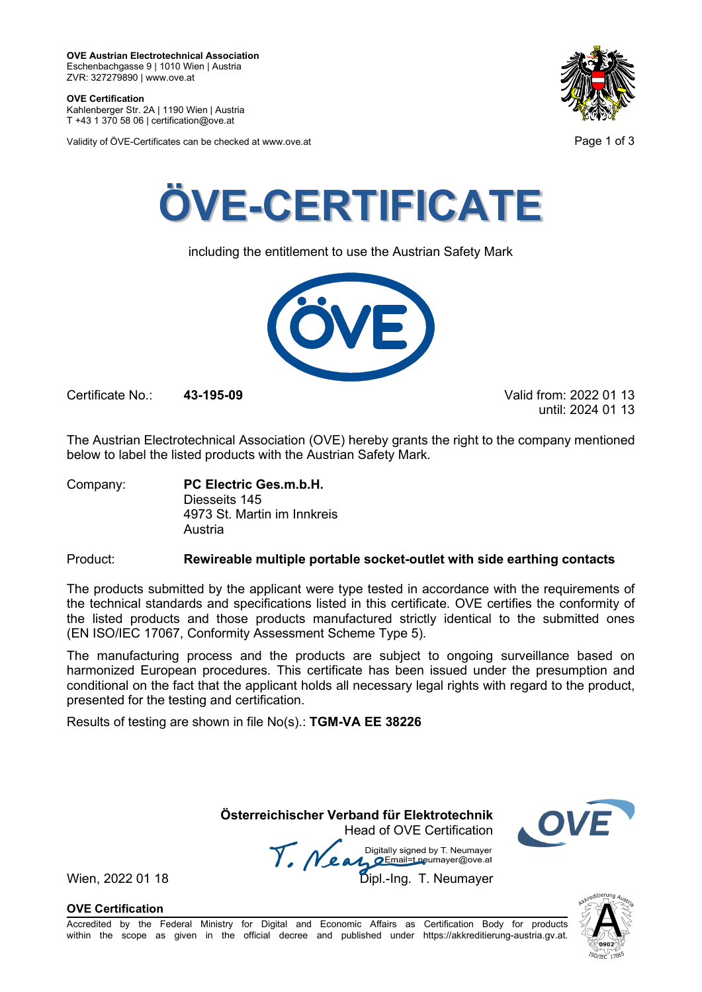**OVE Certification** Kahlenberger Str. 2A | 1190 Wien | Austria

T +43 1 370 58 06 | certification@ove.at

Validity of ÖVE-Certificates can be checked at www.ove.at **Page 1 of 3** Page 1 of 3





including the entitlement to use the Austrian Safety Mark



Certificate No.: **43-195-09** Valid from: 2022 01 13

until: 2024 01 13

The Austrian Electrotechnical Association (OVE) hereby grants the right to the company mentioned below to label the listed products with the Austrian Safety Mark.

Company: **PC Electric Ges.m.b.H.** Diesseits 145 4973 St. Martin im Innkreis Austria

Product: **Rewireable multiple portable socket-outlet with side earthing contacts**

The products submitted by the applicant were type tested in accordance with the requirements of the technical standards and specifications listed in this certificate. OVE certifies the conformity of the listed products and those products manufactured strictly identical to the submitted ones (EN ISO/IEC 17067, Conformity Assessment Scheme Type 5).

The manufacturing process and the products are subject to ongoing surveillance based on harmonized European procedures. This certificate has been issued under the presumption and conditional on the fact that the applicant holds all necessary legal rights with regard to the product, presented for the testing and certification.

Results of testing are shown in file No(s).: **TGM-VA EE 38226**

 **Österreichischer Verband für Elektrotechnik** Head of OVE Certification

Wien, 2022 01 18 Mean Manus Signeu by Liveumayer<br>Wien, 2022 01 18 Dipl.-Ing. T. Neumayer



**OVE Certification**

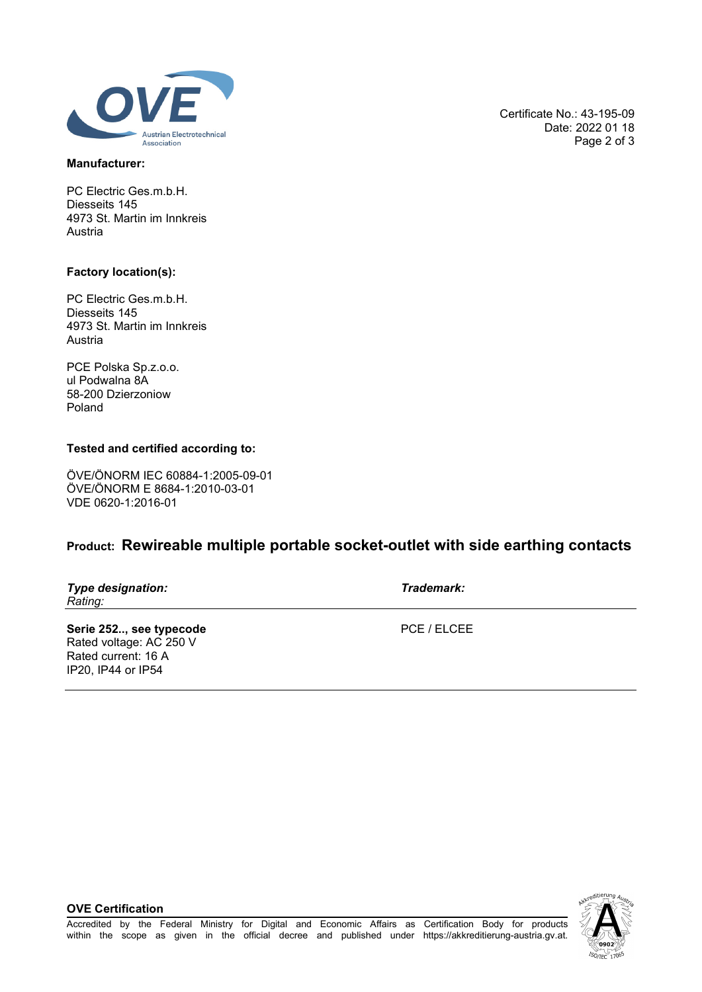

### **Manufacturer:**

PC Electric Ges.m.b.H. Diesseits 145 4973 St. Martin im Innkreis Austria

#### **Factory location(s):**

PC Electric Ges.m.b.H. Diesseits 145 4973 St. Martin im Innkreis Austria

PCE Polska Sp.z.o.o. ul Podwalna 8A 58-200 Dzierzoniow Poland

### **Tested and certified according to:**

ÖVE/ÖNORM IEC 60884-1:2005-09-01 ÖVE/ÖNORM E 8684-1:2010-03-01 VDE 0620-1:2016-01

# **Product: Rewireable multiple portable socket-outlet with side earthing contacts**

| Type designation: |  |
|-------------------|--|
| Rating:           |  |

*Type designation: Trademark:*

Serie 252.., see typecode **PCE / ELCEE** Rated voltage: AC 250 V Rated current: 16 A IP20, IP44 or IP54

**OVE Certification**



Certificate No.: 43-195-09 Date: 2022 01 18 Page 2 of 3